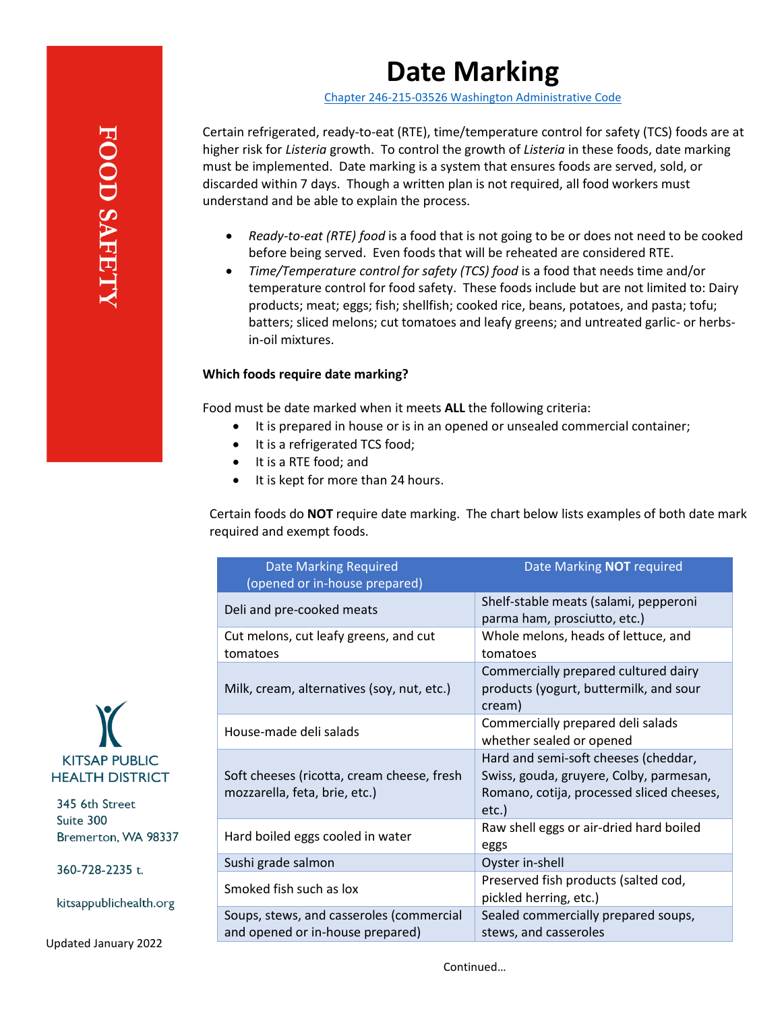# **Date Marking**

[Chapter 246-215-03526 Washington Administrative Code](https://app.leg.wa.gov/WAC/default.aspx?cite=246-215-03526)

Certain refrigerated, ready-to-eat (RTE), time/temperature control for safety (TCS) foods are at higher risk for *Listeria* growth. To control the growth of *Listeria* in these foods, date marking must be implemented. Date marking is a system that ensures foods are served, sold, or discarded within 7 days. Though a written plan is not required, all food workers must understand and be able to explain the process.

- *Ready-to-eat (RTE) food* is a food that is not going to be or does not need to be cooked before being served. Even foods that will be reheated are considered RTE.
- *Time/Temperature control for safety (TCS) food* is a food that needs time and/or temperature control for food safety. These foods include but are not limited to: Dairy products; meat; eggs; fish; shellfish; cooked rice, beans, potatoes, and pasta; tofu; batters; sliced melons; cut tomatoes and leafy greens; and untreated garlic- or herbsin-oil mixtures.

# **Which foods require date marking?**

Food must be date marked when it meets **ALL** the following criteria:

- It is prepared in house or is in an opened or unsealed commercial container;
- It is a refrigerated TCS food;
- It is a RTE food; and
- It is kept for more than 24 hours.

Certain foods do **NOT** require date marking. The chart below lists examples of both date mark required and exempt foods.

| <b>Date Marking Required</b><br>(opened or in-house prepared)                | Date Marking <b>NOT</b> required                                                                                                         |
|------------------------------------------------------------------------------|------------------------------------------------------------------------------------------------------------------------------------------|
| Deli and pre-cooked meats                                                    | Shelf-stable meats (salami, pepperoni<br>parma ham, prosciutto, etc.)                                                                    |
| Cut melons, cut leafy greens, and cut<br>tomatoes                            | Whole melons, heads of lettuce, and<br>tomatoes                                                                                          |
| Milk, cream, alternatives (soy, nut, etc.)                                   | Commercially prepared cultured dairy<br>products (yogurt, buttermilk, and sour<br>cream)                                                 |
| House-made deli salads                                                       | Commercially prepared deli salads<br>whether sealed or opened                                                                            |
| Soft cheeses (ricotta, cream cheese, fresh<br>mozzarella, feta, brie, etc.)  | Hard and semi-soft cheeses (cheddar,<br>Swiss, gouda, gruyere, Colby, parmesan,<br>Romano, cotija, processed sliced cheeses,<br>$etc.$ ) |
| Hard boiled eggs cooled in water                                             | Raw shell eggs or air-dried hard boiled<br>eggs                                                                                          |
| Sushi grade salmon                                                           | Oyster in-shell                                                                                                                          |
| Smoked fish such as lox                                                      | Preserved fish products (salted cod,<br>pickled herring, etc.)                                                                           |
| Soups, stews, and casseroles (commercial<br>and opened or in-house prepared) | Sealed commercially prepared soups,<br>stews, and casseroles                                                                             |

**KITSAP PUBLIC HEALTH DISTRICT** 

345 6th Street Suite 300 Bremerton, WA 98337

360-728-2235 t.

kitsappublichealth.org

Updated January 2022

Continued…